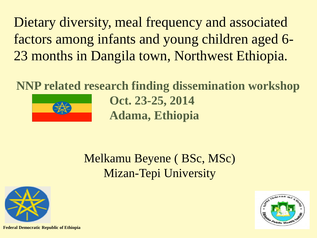Dietary diversity, meal frequency and associated factors among infants and young children aged 6- 23 months in Dangila town, Northwest Ethiopia.

**NNP related research finding dissemination workshop**



**Oct. 23-25, 2014 Adama, Ethiopia**

Melkamu Beyene ( BSc, MSc) Mizan-Tepi University





**Federal Democratic Republic of Ethiopia**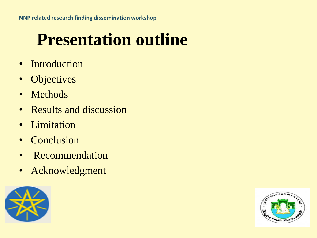## **Presentation outline**

- Introduction
- Objectives
- Methods
- Results and discussion
- Limitation
- Conclusion
- Recommendation
- Acknowledgment



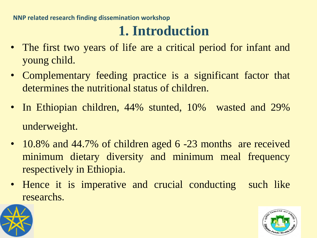**NNP related research finding dissemination workshop** 

### **1. Introduction**

- The first two years of life are a critical period for infant and young child.
- Complementary feeding practice is a significant factor that determines the nutritional status of children.
- In Ethiopian children, 44% stunted, 10% wasted and 29% underweight.
- 10.8% and 44.7% of children aged 6 -23 months are received minimum dietary diversity and minimum meal frequency respectively in Ethiopia.
- Hence it is imperative and crucial conducting such like researchs.



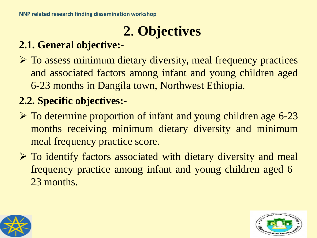## **2**. **Objectives**

#### **2.1. General objective:-**

 To assess minimum dietary diversity, meal frequency practices and associated factors among infant and young children aged 6-23 months in Dangila town, Northwest Ethiopia.

#### **2.2. Specific objectives:-**

- $\triangleright$  To determine proportion of infant and young children age 6-23 months receiving minimum dietary diversity and minimum meal frequency practice score.
- $\triangleright$  To identify factors associated with dietary diversity and meal frequency practice among infant and young children aged 6– 23 months.



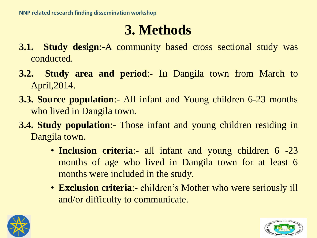### **3. Methods**

- **3.1. Study design**:-A community based cross sectional study was conducted.
- **3.2. Study area and period**:- In Dangila town from March to April,2014.
- **3.3. Source population**:- All infant and Young children 6-23 months who lived in Dangila town.
- **3.4. Study population**:- Those infant and young children residing in Dangila town.
	- **Inclusion criteria**:- all infant and young children 6 -23 months of age who lived in Dangila town for at least 6 months were included in the study.
	- **Exclusion criteria**:- children's Mother who were seriously ill and/or difficulty to communicate.



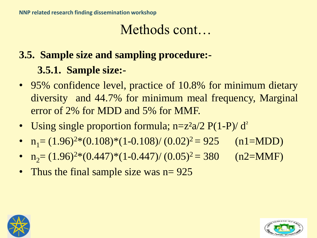### **3.5. Sample size and sampling procedure:- 3.5.1. Sample size:-**

- 95% confidence level, practice of 10.8% for minimum dietary diversity and 44.7% for minimum meal frequency, Marginal error of 2% for MDD and 5% for MMF.
- Using single proportion formula; n=z<sup>2</sup>a/2 P(1-P)/ d<sup>2</sup>
- $n_1 = (1.96)^{2}*(0.108)*(1-0.108)/(0.02)$  $(n1=MDD)$
- $n_2 = (1.96)^{2*}(0.447)^*(1-0.447)/(0.05)$  $(n2=MMF)$
- Thus the final sample size was n= 925



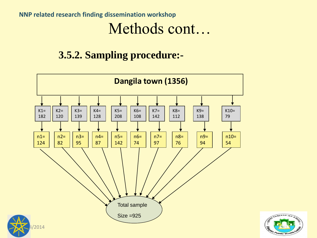#### **NNP related research finding dissemination workshop**  Methods cont…

#### **3.5.2. Sampling procedure:-**



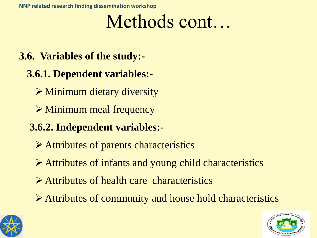**3.6. Variables of the study:-**

#### **3.6.1. Dependent variables:-**

- $\triangleright$  Minimum dietary diversity
- Minimum meal frequency

#### **3.6.2. Independent variables:-**

- Attributes of parents characteristics
- Attributes of infants and young child characteristics
- Attributes of health care characteristics
- Attributes of community and house hold characteristics



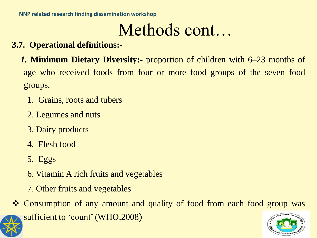- **3.7. Operational definitions:-**
	- *1.* **Minimum Dietary Diversity:-** proportion of children with 6–23 months of age who received foods from four or more food groups of the seven food groups.
		- 1. Grains, roots and tubers
		- 2. Legumes and nuts
		- 3. Dairy products
		- 4. Flesh food
		- 5. Eggs
		- 6. Vitamin A rich fruits and vegetables
		- 7. Other fruits and vegetables
- \* Consumption of any amount and quality of food from each food group was sufficient to 'count'(WHO,2008)

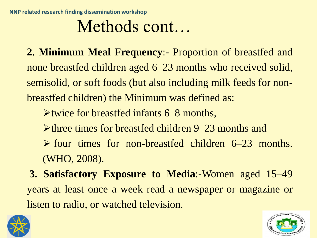**2**. **Minimum Meal Frequency**:- Proportion of breastfed and none breastfed children aged 6–23 months who received solid, semisolid, or soft foods (but also including milk feeds for nonbreastfed children) the Minimum was defined as:

twice for breastfed infants 6–8 months,

- $\triangleright$  three times for breastfed children 9–23 months and
- $\triangleright$  four times for non-breastfed children 6–23 months. (WHO, 2008).

**3. Satisfactory Exposure to Media**:-Women aged 15–49 years at least once a week read a newspaper or magazine or listen to radio, or watched television.



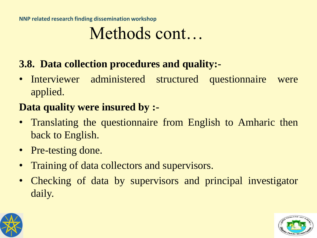**NNP related research finding dissemination workshop**

## Methods cont…

#### **3.8. Data collection procedures and quality:-**

• Interviewer administered structured questionnaire were applied.

#### **Data quality were insured by :-**

- Translating the questionnaire from English to Amharic then back to English.
- Pre-testing done.
- Training of data collectors and supervisors.
- Checking of data by supervisors and principal investigator daily.



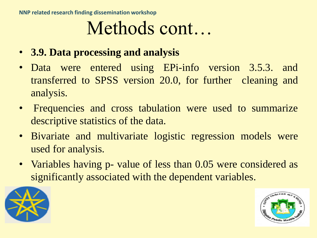- **3.9. Data processing and analysis**
- Data were entered using EPi-info version 3.5.3. and transferred to SPSS version 20.0, for further cleaning and analysis.
- Frequencies and cross tabulation were used to summarize descriptive statistics of the data.
- Bivariate and multivariate logistic regression models were used for analysis.
- Variables having p- value of less than 0.05 were considered as significantly associated with the dependent variables.



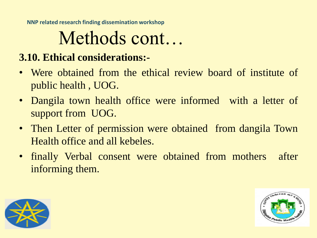**NNP related research finding dissemination workshop** 

# Methods cont…

#### **3.10. Ethical considerations:-**

- Were obtained from the ethical review board of institute of public health , UOG.
- Dangila town health office were informed with a letter of support from UOG.
- Then Letter of permission were obtained from dangila Town Health office and all kebeles.
- finally Verbal consent were obtained from mothers after informing them.



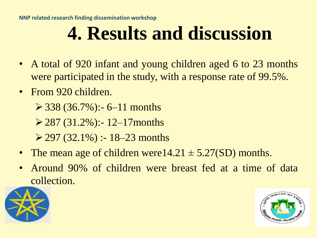# **4. Results and discussion**

- A total of 920 infant and young children aged 6 to 23 months were participated in the study, with a response rate of 99.5%.
- From 920 children.

 $\geq$  338 (36.7%):- 6–11 months

 $\geq$  287 (31.2%):-12–17 months

 $\geq$  297 (32.1%) :- 18–23 months

- The mean age of children were  $14.21 \pm 5.27(SD)$  months.
- Around 90% of children were breast fed at a time of data collection.



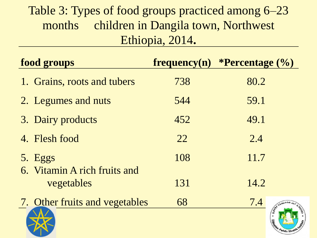### Table 3: Types of food groups practiced among 6–23 months children in Dangila town, Northwest Ethiopia, 2014**.**

| food groups                             |     | frequency $(n)$ *Percentage $(\%)$ |
|-----------------------------------------|-----|------------------------------------|
| 1. Grains, roots and tubers             | 738 | 80.2                               |
| 2. Legumes and nuts                     | 544 | 59.1                               |
| 3. Dairy products                       | 452 | 49.1                               |
| 4. Flesh food                           | 22  | 2.4                                |
| 5. Eggs<br>6. Vitamin A rich fruits and | 108 | 11.7                               |
| vegetables                              | 131 | 14.2                               |
| 7. Other fruits and vegetables          | 68  | 7.4<br>$e^{\pi n/L + n\eta}$       |
|                                         |     | Ethiol<br>tan Public Health        |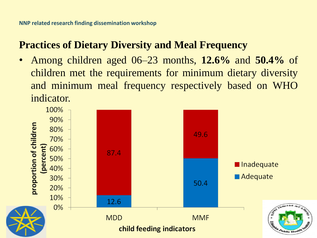#### **Practices of Dietary Diversity and Meal Frequency**

• Among children aged 06–23 months, **12.6%** and **50.4%** of children met the requirements for minimum dietary diversity and minimum meal frequency respectively based on WHO indicator.

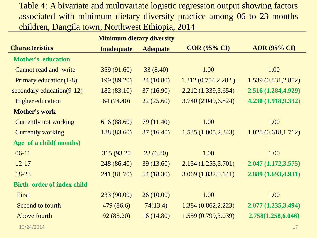Table 4: A bivariate and multivariate logistic regression output showing factors associated with minimum dietary diversity practice among 06 to 23 months children, Dangila town, Northwest Ethiopia, 2014

| <b>Minimum dietary diversity</b> |                   |                 |                     |                     |
|----------------------------------|-------------------|-----------------|---------------------|---------------------|
| <b>Characteristics</b>           | <b>Inadequate</b> | <b>Adequate</b> | <b>COR (95% CI)</b> | <b>AOR (95% CI)</b> |
| <b>Mother's education</b>        |                   |                 |                     |                     |
| Cannot read and write            | 359 (91.60)       | 33(8.40)        | 1.00                | 1.00                |
| Primary education(1-8)           | 199 (89.20)       | 24(10.80)       | 1.312(0.754, 2.282) | 1.539(0.831, 2.852) |
| secondary education(9-12)        | 182(83.10)        | 37(16.90)       | 2.212(1.339, 3.654) | 2.516 (1.284,4.929) |
| <b>Higher education</b>          | 64 (74.40)        | 22(25.60)       | 3.740(2.049, 6.824) | 4.230 (1.918,9.332) |
| <b>Mother's work</b>             |                   |                 |                     |                     |
| <b>Currently not working</b>     | 616 (88.60)       | 79(11.40)       | 1.00                | 1.00                |
| <b>Currently working</b>         | 188 (83.60)       | 37(16.40)       | 1.535(1.005, 2.343) | 1.028(0.618, 1.712) |
| Age of a child (months)          |                   |                 |                     |                     |
| $06-11$                          | 315 (93.20)       | 23(6.80)        | 1.00                | 1.00                |
| $12 - 17$                        | 248 (86.40)       | 39(13.60)       | 2.154(1.253, 3.701) | 2.047(1.172, 3.575) |
| 18-23                            | 241 (81.70)       | 54 (18.30)      | 3.069(1.832, 5.141) | 2.889 (1.693,4.931) |
| Birth order of index child       |                   |                 |                     |                     |
| First                            | 233(90.00)        | 26(10.00)       | 1.00                | 1.00                |
| Second to fourth                 | 479 (86.6)        | 74(13.4)        | 1.384(0.862, 2.223) | 2.077 (1.235,3.494) |
| Above fourth                     | 92(85.20)         | 16(14.80)       | 1.559(0.799, 3.039) | 2.758(1.258,6.046)  |
|                                  |                   |                 |                     |                     |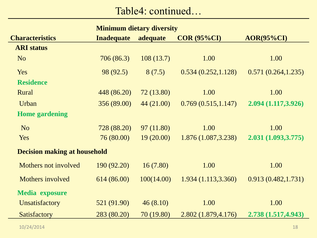Table4: continued…

| <b>Minimum dietary diversity</b>    |                   |            |                     |                       |  |
|-------------------------------------|-------------------|------------|---------------------|-----------------------|--|
| <b>Characteristics</b>              | <b>Inadequate</b> | adequate   | $COR(95\%CI)$       | $\triangle$ OR(95%CI) |  |
| <b>ARI</b> status                   |                   |            |                     |                       |  |
| N <sub>o</sub>                      | 706(86.3)         | 108(13.7)  | 1.00                | 1.00                  |  |
| Yes                                 | 98 (92.5)         | 8(7.5)     | 0.534(0.252, 1.128) | 0.571(0.264, 1.235)   |  |
| <b>Residence</b>                    |                   |            |                     |                       |  |
| Rural                               | 448 (86.20)       | 72(13.80)  | 1.00                | 1.00                  |  |
| Urban                               | 356 (89.00)       | 44 (21.00) | 0.769(0.515, 1.147) | 2.094 (1.117,3.926)   |  |
| <b>Home gardening</b>               |                   |            |                     |                       |  |
| N <sub>o</sub>                      | 728 (88.20)       | 97(11.80)  | 1.00                | 1.00                  |  |
| Yes                                 | 76 (80.00)        | 19(20.00)  | 1.876(1.087, 3.238) | 2.031 (1.093,3.775)   |  |
| <b>Decision making at household</b> |                   |            |                     |                       |  |
| Mothers not involved                | 190 (92.20)       | 16(7.80)   | 1.00                | 1.00                  |  |
| Mothers involved                    | 614(86.00)        | 100(14.00) | 1.934(1.113, 3.360) | 0.913(0.482, 1.731)   |  |
| <b>Media exposure</b>               |                   |            |                     |                       |  |
| Unsatisfactory                      | 521 (91.90)       | 46(8.10)   | 1.00                | 1.00                  |  |
| Satisfactory                        | 283 (80.20)       | 70 (19.80) | 2.802 (1.879,4.176) | 2.738 (1.517,4.943)   |  |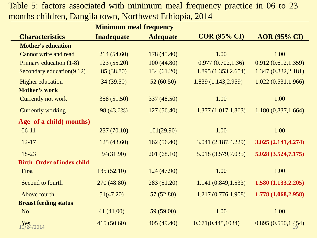Table 5: factors associated with minimum meal frequency practice in 06 to 23 months children, Dangila town, Northwest Ethiopia, 2014

|                                   | <b>Minimum meal frequency</b> |                 |                      |                     |
|-----------------------------------|-------------------------------|-----------------|----------------------|---------------------|
| <b>Characteristics</b>            | <b>Inadequate</b>             | <b>Adequate</b> | <b>COR (95% CI)</b>  | <b>AOR (95% CI)</b> |
| <b>Mother's education</b>         |                               |                 |                      |                     |
| <b>Cannot write and read</b>      | 214(54.60)                    | 178 (45.40)     | 1.00                 | 1.00                |
| Primary education (1-8)           | 123(55.20)                    | 100(44.80)      | 0.977(0.702, 1.36)   | 0.912(0.612, 1.359) |
| Secondary education (9 12)        | 85 (38.80)                    | 134(61.20)      | 1.895 (1.353, 2.654) | 1.347(0.832, 2.181) |
| <b>Higher education</b>           | 34(39.50)                     | 52(60.50)       | 1.839 (1.143,2.959)  | 1.022(0.531, 1.966) |
| <b>Mother's work</b>              |                               |                 |                      |                     |
| Currently not work                | 358 (51.50)                   | 337 (48.50)     | 1.00                 | 1.00                |
| <b>Currently working</b>          | 98 (43.6%)                    | 127(56.40)      | 1.377(1.017, 1.863)  | 1.180(0.837, 1.664) |
| Age of a child (months)           |                               |                 |                      |                     |
| $06-11$                           | 237(70.10)                    | 101(29.90)      | 1.00                 | 1.00                |
| $12 - 17$                         | 125(43.60)                    | 162(56.40)      | 3.041 (2.187,4.229)  | 3.025 (2.141,4.274) |
| 18-23                             | 94(31.90)                     | 201(68.10)      | 5.018 (3.579,7.035)  | 5.028(3.524,7.175)  |
| <b>Birth Order of index child</b> |                               |                 |                      |                     |
| First                             | 135(52.10)                    | 124 (47.90)     | 1.00                 | 1.00                |
| Second to fourth                  | 270 (48.80)                   | 283 (51.20)     | 1.141(0.849, 1.533)  | 1.580(1.133, 2.205) |
| Above fourth                      | 51(47.20)                     | 57 (52.80)      | 1.217(0.776, 1.908)  | 1.778 (1.068,2.958) |
| <b>Breast feeding status</b>      |                               |                 |                      |                     |
| N <sub>o</sub>                    | 41(41.00)                     | 59 (59.00)      | 1.00                 | 1.00                |
| $Y_{24/2014}$                     | 415 (50.60)                   | 405 (49.40)     | 0.671(0.445, 1034)   | 0.895(0.550, 1.454) |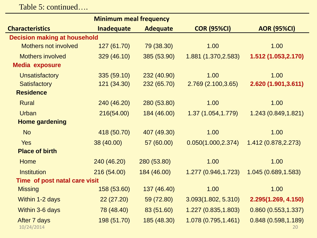Table 5: continued….

| <b>Minimum meal frequency</b>       |                   |                 |                      |                           |
|-------------------------------------|-------------------|-----------------|----------------------|---------------------------|
| <b>Characteristics</b>              | <b>Inadequate</b> | <b>Adequate</b> | <b>COR (95%CI)</b>   | <b>AOR (95%CI)</b>        |
| <b>Decision making at household</b> |                   |                 |                      |                           |
| <b>Mothers not involved</b>         | 127 (61.70)       | 79 (38.30)      | 1.00                 | 1.00                      |
| <b>Mothers involved</b>             | 329 (46.10)       | 385 (53.90)     | 1.881 (1.370, 2.583) | 1.512 (1.053,2.170)       |
| <b>Media exposure</b>               |                   |                 |                      |                           |
| <b>Unsatisfactory</b>               | 335 (59.10)       | 232 (40.90)     | 1.00                 | 1.00                      |
| <b>Satisfactory</b>                 | 121 (34.30)       | 232 (65.70)     | 2.769 (2.100,3.65)   | 2.620 (1.901,3.611)       |
| <b>Residence</b>                    |                   |                 |                      |                           |
| <b>Rural</b>                        | 240 (46.20)       | 280 (53.80)     | 1.00                 | 1.00                      |
| <b>Urban</b>                        | 216(54.00)        | 184 (46.00)     | 1.37 (1.054,1.779)   | 1.243 (0.849,1.821)       |
| <b>Home gardening</b>               |                   |                 |                      |                           |
| <b>No</b>                           | 418 (50.70)       | 407 (49.30)     | 1.00                 | 1.00                      |
| <b>Yes</b>                          | 38 (40.00)        | 57 (60.00)      | 0.050(1.000, 2.374)  | 1.412 (0.878, 2.273)      |
| <b>Place of birth</b>               |                   |                 |                      |                           |
| <b>Home</b>                         | 240 (46.20)       | 280 (53.80)     | 1.00                 | 1.00                      |
| <b>Institution</b>                  | 216 (54.00)       | 184 (46.00)     | 1.277 (0.946,1.723)  | 1.045 (0.689, 1.583)      |
| Time of post natal care visit       |                   |                 |                      |                           |
| <b>Missing</b>                      | 158 (53.60)       | 137 (46.40)     | 1.00                 | 1.00                      |
| Within 1-2 days                     | 22(27.20)         | 59 (72.80)      | 3.093(1.802, 5.310)  | 2.295(1.269, 4.150)       |
| Within 3-6 days                     | 78 (48.40)        | 83 (51.60)      | 1.227(0.835, 1.803)  | 0.860(0.553, 1.337)       |
| After 7 days<br>10/24/2014          | 198 (51.70)       | 185 (48.30)     | 1.078 (0.795,1.461)  | 0.848(0.598, 1.189)<br>20 |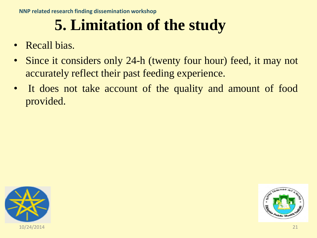## **5. Limitation of the study**

- Recall bias.
- Since it considers only 24-h (twenty four hour) feed, it may not accurately reflect their past feeding experience.
- It does not take account of the quality and amount of food provided.



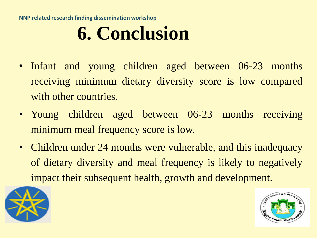**NNP related research finding dissemination workshop** 

# **6. Conclusion**

- Infant and young children aged between 06-23 months receiving minimum dietary diversity score is low compared with other countries.
- Young children aged between 06-23 months receiving minimum meal frequency score is low.
- Children under 24 months were vulnerable, and this inadequacy of dietary diversity and meal frequency is likely to negatively impact their subsequent health, growth and development.



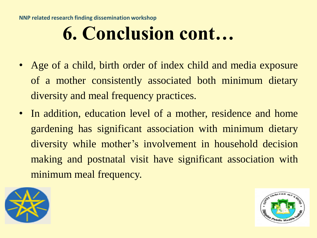# **6. Conclusion cont…**

- Age of a child, birth order of index child and media exposure of a mother consistently associated both minimum dietary diversity and meal frequency practices.
- In addition, education level of a mother, residence and home gardening has significant association with minimum dietary diversity while mother's involvement in household decision making and postnatal visit have significant association with minimum meal frequency.



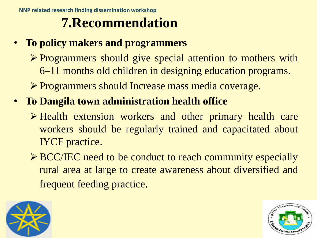## **7.Recommendation**

- **To policy makers and programmers**
	- Programmers should give special attention to mothers with 6–11 months old children in designing education programs.
	- Programmers should Increase mass media coverage.
- **To Dangila town administration health office**
	- $\triangleright$  Health extension workers and other primary health care workers should be regularly trained and capacitated about IYCF practice.
	- ▶ BCC/IEC need to be conduct to reach community especially rural area at large to create awareness about diversified and frequent feeding practice.



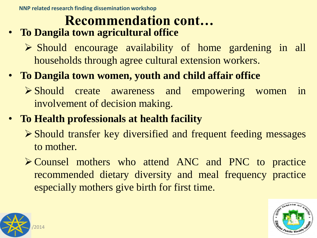## **Recommendation cont…**

- **To Dangila town agricultural office**
	- $\triangleright$  Should encourage availability of home gardening in all households through agree cultural extension workers.
- **To Dangila town women, youth and child affair office**
	- Should create awareness and empowering women in involvement of decision making.
- **To Health professionals at health facility**
	- Should transfer key diversified and frequent feeding messages to mother.
	- Counsel mothers who attend ANC and PNC to practice recommended dietary diversity and meal frequency practice especially mothers give birth for first time.



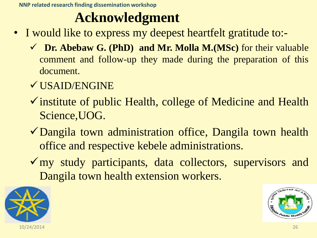### **Acknowledgment**

- I would like to express my deepest heartfelt gratitude to:-
	- **Dr. Abebaw G. (PhD) and Mr. Molla M.(MSc)** for their valuable comment and follow-up they made during the preparation of this document.
	- USAID/ENGINE
	- $\checkmark$  institute of public Health, college of Medicine and Health Science,UOG.
	- Dangila town administration office, Dangila town health office and respective kebele administrations.
	- my study participants, data collectors, supervisors and Dangila town health extension workers.